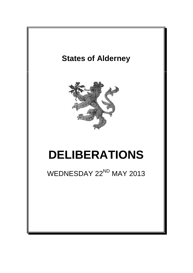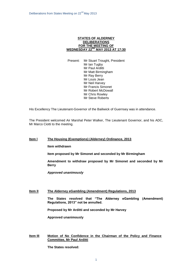### **STATES OF ALDERNEY DELIBERATIONS FOR THE MEETING OF WEDNESDAY 22ND MAY 2013 AT 17:30**

Present: Mr Stuart Trought, President Mr Ian Tugby Mr Paul Arditti Mr Matt Birmingham Mr Ray Berry Mr Louis Jean Mr Neil Harvey Mr Francis Simonet Mr Robert McDowall Mr Chris Rowley Mr Steve Roberts

His Excellency The Lieutenant-Governor of the Bailiwick of Guernsey was in attendance.

The President welcomed Air Marshal Peter Walker, The Lieutenant Governor, and his ADC, Mr Marco Ciotti to the meeting.

# **Item l The Housing (Exemptions) (Alderney) Ordinance, 2013**

**Item withdrawn**

**Item proposed by Mr Simonet and seconded by Mr Birmingham** 

**Amendment to withdraw proposed by Mr Simonet and seconded by Mr Berry**

*Approved unanimously*

### **Item lI The Alderney eGambling (Amendment) Regulations, 2013**

**The States resolved that "The Alderney eGambling (Amendment) Regulations, 2013" not be annulled.**

**Proposed by Mr Arditti and seconded by Mr Harvey**

**Approved unanimously**

## **Item IlI Motion of No Confidence in the Chairman of the Policy and Finance Committee, Mr Paul Arditti**

**The States resolved:**